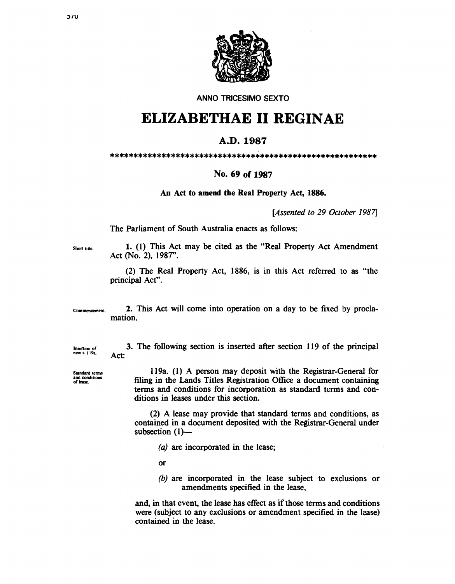

**ANNO TRICESIMO SEXTO** 

## ELIZABETHAE II REGINAE

## A.D. 1987

## No. 69 of 1987

An Act to amend the Real Property Act, 1886.

[Assented to 29 October 1987]

The Parliament of South Australia enacts as follows:

Short title.

1. (1) This Act may be cited as the "Real Property Act Amendment" Act (No. 2), 1987".

(2) The Real Property Act, 1886, is in this Act referred to as "the principal Act".

2. This Act will come into operation on a day to be fixed by procla-Commencement. mation.

Insertion of<br>new s. 119a.

and conditions

of lease

Act: Standard terms

119a. (1) A person may deposit with the Registrar-General for filing in the Lands Titles Registration Office a document containing terms and conditions for incorporation as standard terms and conditions in leases under this section.

3. The following section is inserted after section 119 of the principal

(2) A lease may provide that standard terms and conditions, as contained in a document deposited with the Registrar-General under subsection  $(1)$ —

(a) are incorporated in the lease;

**or** 

(b) are incorporated in the lease subject to exclusions or amendments specified in the lease,

and, in that event, the lease has effect as if those terms and conditions were (subject to any exclusions or amendment specified in the lease) contained in the lease.